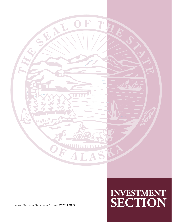

# **INVESTMENT** ALASKA TEACHERS' RETIREMENT SYSTEM • **FY 2011 CAFR SECTION**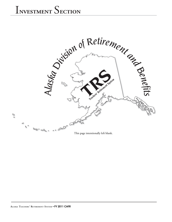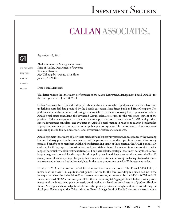# **CALLAN ASSOCIAT**



DENVER

September 15, 2011

Alaska Retirement Management Board State of Alaska, Department of Revenue Treasury Division 333 Willoughby Avenue, 11th Floor Juneau, AK 99801 SAN FRANCISCO NEW YORK CHICAGO ATLANTA

Dear Board Members:

This letter reviews the investment performance of the Alaska Retirement Management Board (ARMB) for the fiscal year ended June 30, 2011.

Callan Associates Inc. (Callan) independently calculates time-weighted performance statistics based on underlying custodial data provided by the Board's custodian, State Street Bank and Trust Company. The performance calculations were made using a time-weighted return methodology based upon market values. ARMB's real estate consultant, the Townsend Group, calculates returns for the real estate segment of the portfolio. Callan incorporates that data into the total plan returns. Callan serves as ARMB's independent general investment consultant and evaluates the ARMB's performance in relation to market benchmarks, appropriate manager peer groups and other public pension systems. The performance calculations were made using methodology similar to Global Investment Performance standards.

ARMB's primary investment objective is to prudently and expertly invest assets, in accordance with governing law and industry practices, in a manner that will help ensure assets under supervision are sufficient to pay promised benefits to its members and their beneficiaries. In pursuit of this objective, the ARMB periodically evaluates liabilities, expected contributions, and potential earnings. This analysis is used to consider a wide range of potentially viable investment strategies. The Board selects a strategic investment policy that balances long-term growth potential and acceptable risk. A policy benchmark is constructed that mirrors the Board's strategic asset allocation policy. This policy benchmark is a custom index comprised of equity, fixed income, real estate and other market indices weighted in the same proportions as ARMB's investment policy.

Fiscal year 2011 was a positive period for all major investment categories. The Russell 3000 Index, a measure of the broad U.S. equity market gained 32.37% for the fiscal year despite a small decline in the June quarter when the index fell 0.03%. International stocks, as measured by the MSCI-ACWI ex-U.S. Index, increased 30.27%. In fiscal year 2011, the Barclays Capital Aggregate Bond Index, a widely used measure of the investment grade domestic bond market, achieved an overall return of 3.90%. Absolute Return Strategies such as hedge fund-of-funds also posted positive, although modest, returns during the fiscal year. For example, the Callan Absolute Return Hedge Fund-of-Funds Style median return was a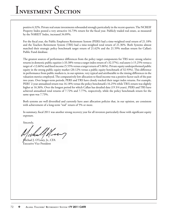positive 6.32%. Private real estate investments rebounded strongly particularly in the recent quarters. The NCREIF Property Index posted a very attractive 16.73% return for the fiscal year. Publicly traded real estate, as measured by the NAREIT Index, increased 34.09%.

For the fiscal year, the Public Employees Retirement System (PERS) had a time-weighted total return of 21.18% and the Teachers Retirement System (TRS) had a time-weighted total return of 21.36%. Both Systems almost matched their strategic policy benchmark target return of 21.62% and the 21.59% median return for Callan's Public Fund database.

The greatest sources of performance differences from the policy target components for TRS were: strong relative returns in domestic public equities (+33.38% versus a target index return of +32.37%), real assets (+15.25% versus a target of +12.66%) and fixed income (5.55% versus a target return of 5.06%). Private equity underperformed public equity in the strong public equity market (20.12% versus a public equity benchmark of 32.93%). This difference in performance from public markets is, in our opinion, very typical and attributable to the timing differences in the valuation metrics employed. The comparatively low allocation to fixed income was a positive factor each of the past two years. Over longer-term periods, PERS and TRS have closely tracked their target index returns. For example, PERS' 2-year annualized return was 16.18% versus the policy benchmark's 16.25% while TRS's return was slightly higher at 16.36%. Over the longest period for which Callan has detailed data (19 3/4 years), PERS and TRS have achieved annualized total returns of 7.72% and 7.77%, respectively, while the policy benchmark return for the same span was 7.73%.

Both systems are well diversified and currently have asset allocation policies that, in our opinion, are consistent with achievement of a long-term "real" return of 5% or more.

In summary, fiscal 2011 was another strong recovery year for all investors particularly those with significant equity exposure.

Sincerely,

Lui

Michael J. O'Leary, Jr., CFA Executive Vice President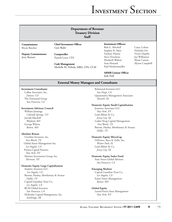### **Department of Revenue Treasury Division Staff**

**Commissioner** Bryan Butcher

**Deputy Commissioner** Jerry Burnett

**Chief Investment Officer** Gary Bader

**Comptroller** Pamela Leary, CPA

**Cash Management** Michelle M. Prebula, MBA, CPA, CCM

#### **Investment Officers**

Bob G. Mitchell Casey Colton Stephen R. Sikes Nicholas Orr Zachary Hanna Victor Djajalie Steve Verschoor Joy Wilkinson Elizabeth Walton Shane Carson<br>Sean Howard Alvson Campl Paul Hackenmueller

Alyson Campbell

**ARMB** Liaison Officer Judy Hall

#### **External Money Managers and Consultants**

**Investment Consultants** Callan Associates, Inc. *Denver, CO* The Townsend Group *San Francisco, CA*

#### **Investment Advisory Council**

 William Jennings *Colorado Springs, CO* Jerrold Mitchell *Wayland, MA* George Wilson *Boston, MA*

#### **Absolute Return**

 Crestline Investors, Inc.  *Fort Worth, TX* Global Assets Management Inc. *Los Angeles, CA* Prisma Capital Partners  *New York, NY* Mariner Investment Group, Inc. *Harrison, NY*

#### **Domestic Equity Large Capitalization**

 Analytic Investors LLC *Los Angeles, CA* Barrow, Hanley, Mewhinney & Strauss *Dallas, TX* Capital Guardian Trust Co. *Los Angeles, CA* RCM Global Investors *San Francisco, CA* McKinley Capital Management, Inc. *Anchorage, AK*

 Relational Investors LLC *San Diego, CA* Quantitative Management Associates *Newark, NJ*

#### **Domestic Equity Small Capitalization**

 Jennison Associates LLC *New York, NY* Lord Abbett & Co. *Jersey City, NJ* Luther King Capital Management  *Fort Worth, TX* Barrow, Hanley, Mewhinney & Strauss *Dallas, TX*

#### **Domestic Equity MicroCap**

 DePrince, Race & Zollo, Inc. *Winter Park, FL* Lord Abbett & Co. *Jersey City, NJ*

#### **Domestic Equity Index Fund**

 State Street Global Advisors *San Francisco, CA*

#### **Emerging Markets**

 Capital Guardian Trust Co. *Los Angeles, CA* Eaton Vance Management *Boston, MA*

**Global Equity** Lazard Freres Asset Management *New York, NY*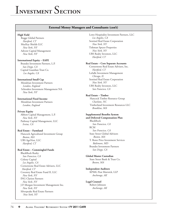### **External Money Managers and Consultants (con't)**

#### **High Yield**

 Rogge Global Partners  *Hartford, CT* MacKay Shields LLC  *New York, NY* Advent Capital Management  *New York, NY*

**International Equity – EAFE** Brandes Investment Partners, L.P. *San Diego, CA* Capital Guardian Trust Co. *Los Angeles, CA*

#### **International Small Cap**

 Mondrian Investment Partners  *London, England* Schroders Investment Management NA  *New York, NY*

**International Fixed Income** Mondrian Investment Partners *London, England*

#### **Private Equity**

 Abbott Capital Management, L.P. *New York, NY* Pathway Capital Management, LLC *Irvine, CA*

**Real Estate – Farmland** Hancock Agricultural Investment Group *Boston, MA* UBS AgriVest, LLC *Hartford, CT*

**Real Estate – Commingled Funds** BlackRock Realty *San Francisco, CA* Colony Capital *Los Angeles, CA* Cornerstone Real Estate Advisers, LLC *Hartford, CT* Coventry Real Estate Fund II, LLC *New York, NY* ING Clarion Partners *New York, NY* J.P. Morgan Investment Management Inc. *New York, NY* Silverpeake Real Estate Partners  *New York, NY*

 Lowe Hospitality Investment Partners, LLC *Los Angeles, CA* Sentinel Real Estate Corporation *New York, NY* Tishman Speyer Properties *New York, NY* UBS Realty Investors, LLC *Hartford, CT*

#### **Real Estate – Core Separate Accounts**

 Cornerstone Real Estate Advisers, Inc. *Hartford, CT* LaSalle Investment Management *Chicago, IL* Sentinel Real Estate Corporation *New York, NY* UBS Realty Investors, LLC *San Francisco, CA*

#### **Real Estate – Timber**

 Hancock Timber Resource Group  *Charlotte, NC* Timberland Investment Resources LLC  *Brookline, MA*

#### **Supplemental Benefits System**

**and Deferred Compensation Plan** BlackRock *San Francisco, CA* RCM *San Francisco, CA* State Street Global Advisors *Boston, MA* T. Rowe Price Investment Services *Baltimore, MD* Brandes Investment Partners *San Diego, CA*

**Global Master Custodian** State Street Bank & Trust Co. *Boston, MA*

**Independent Auditors** KPMG Peat Marwick, LLP *Anchorage, AK*

**Legal Counsel** Robert Johnson *Anchorage, AK*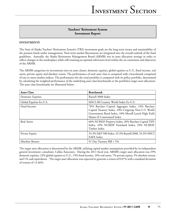### **Teachers' Retirement System Investment Report**

### **INVESTMENTS**

The State of Alaska Teachers' Retirement System's (TRS) investment goals are the long term return and sustainability of the pension funds under management. Near-term market fluctuations are integrated into the overall outlook of the fund guidelines. Annually, the Alaska Retirement Management Board (ARMB) sets its asset allocation strategy in order to reflect changes in the marketplace while still retaining an optimal risk/return level within the set constraints and objectives of the ARMB.

The ARMB categorizes its investments into six asset classes: domestic equities, global equities ex-U.S., fixed income, real assets, private equity and absolute return. The performance of each asset class is compared with a benchmark comprised of one or more market indices. The performance for the total portfolio is compared with its policy portfolio, determined by calculating the weighted performance of the underlying asset class benchmarks at the portfolio's target asset allocation. The asset class benchmarks are illustrated below:

| <b>Asset Class</b>      | <b>Benchmark</b>                                                                                                                                                                                 |
|-------------------------|--------------------------------------------------------------------------------------------------------------------------------------------------------------------------------------------------|
| Domestic Equities       | Russell 3000 Index                                                                                                                                                                               |
| Global Equities Ex-U.S. | MSCI All Country World Index Ex-U.S.                                                                                                                                                             |
| Fixed Income            | 70% Barclays Capital Aggregate Index, 10% Barclays<br>Capital Treasury Index, 10% Citigroup Non-U.S. World<br>Government Bond Index, 10% Merrill Lynch High Yield<br>Master II Constrained Index |
| Real Assets             | 60% NCREIF Property Index, 20% Barclays Capital TIPS<br>Index, 10% NCREIF Farmland Index, 10% NCREIF<br>Timber Index                                                                             |
| Private Equity          | 33.3% S&P 500 Index, 33.3% Russell 2000, 33.3% MSCI<br><b>EAFE</b> Index                                                                                                                         |
| Absolute Return         | 91 Day Treasury Bill + 5%                                                                                                                                                                        |

The target asset allocation is determined by the ARMB, utilizing capital market assumptions provided by its independent general investment consultant, Callan Associates. During the 2011 fiscal year, ARMB's target asset allocation was 29% domestic equities, 23% global equities ex-U.S., 19% fixed income, 16% real assets, 7% private equity, 5% absolute return, and 1% cash equivalents. The target asset allocation was expected to generate a return of 8.07% with a standard deviation of returns of 13.46%.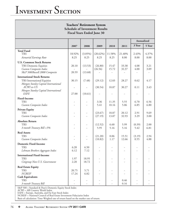## **Teachers' Retirement System Schedule of Investment Results Fiscal Years Ended June 30**

|                                                         |                |            |                |        |        | Annualized |        |
|---------------------------------------------------------|----------------|------------|----------------|--------|--------|------------|--------|
|                                                         | 2007           | 2008       | 2009           | 2010   | 2011   | 3 Year     | 5 Year |
| <b>Total Fund</b>                                       |                |            |                |        |        |            |        |
| <b>TRS</b>                                              | 18.92%         | $(3.05\%)$ | $(20.62\%)$    | 11.58% | 21.40% | 2.43%      | 4.37%  |
| Actuarial Earnings Rate                                 | 8.25           | 8.25       | 8.25           | 8.25   | 8.00   | 8.00       | 8.00   |
| <b>U.S. Common Stock Returns</b>                        |                |            |                |        |        |            |        |
| TRS Domestic Equities                                   | 20.10          | (13.53)    | (26.80)        | 15.47  | 33.38  | 4.08       | 3.21   |
| Custom Composite Index                                  |                |            | (26.56)        | 15.72  | 32.37  | 4.00       | 3.09   |
| S&P 500/Russell 2000 Composite                          | 20.59          | (13.68)    |                |        |        |            |        |
| <b>International Stock Returns</b>                      |                |            |                |        |        |            |        |
| TRS International Equities                              | 30.15          | (7.48)     | (29.12)        | 12.03  | 28.27  | 0.62       | 4.17   |
| Morgan Stanley Capital International<br>ACWI ex-US      |                |            | (30.54)        | 10.87  | 30.27  | 0.11       | 3.43   |
| Morgan Stanley Capital International                    | $\overline{a}$ |            |                |        |        |            |        |
| EAFE                                                    | 27.00          | (10.61)    |                |        |        | ÷,         |        |
| <b>Fixed-Income</b>                                     |                |            |                |        |        |            |        |
| <b>TRS</b>                                              |                |            | 3.36           | 11.35  | 5.55   | 6.70       | 6.56   |
| Custom Composite Index                                  |                |            | 5.41           | 10.16  | 5.06   | 6.85       | 6.80   |
| <b>Private Equity</b>                                   |                |            |                |        |        |            |        |
| <b>TRS</b>                                              |                |            | (23.67)        | 18.87  | 20.12  | 2.91       | 9.69   |
| Custom Composite Index                                  |                |            | (27.19)        | 13.87  | 32.93  | 3.29       | 3.00   |
| <b>Absolute Return</b>                                  |                |            |                |        |        |            |        |
| <b>TRS</b>                                              |                |            | (12.52)        | 6.60   | 5.99   | (0.39)     | 2.00   |
| 3-month Treasury Bill +5%                               |                |            | 5.95           | 5.16   | 5.16   | 5.42       | 6.81   |
| <b>Real Assets</b>                                      |                |            |                |        |        |            |        |
| <b>TRS</b>                                              |                |            | (21.20)        | 0.06   | 15.51  | (3.19)     | 2.94   |
| Custom Composite Index                                  |                |            | (10.82)        | 1.17   | 12.66  | 0.55       | 4.88   |
| <b>Domestic Fixed-Income</b>                            |                |            |                |        |        |            |        |
| <b>TRS</b>                                              | 6.20           | 6.50       | $\overline{a}$ |        |        |            |        |
| Lehman Brothers Aggregate Index                         | 6.12           | 7.12       |                |        |        |            |        |
| <b>International Fixed-Income</b>                       |                |            |                |        |        |            |        |
| <b>TRS</b>                                              | 1.97           | 18.95      |                |        |        |            |        |
| Citigroup Non-U.S. Government                           | 2.20           | 18.72      |                |        |        |            |        |
| <b>Real Estate Equity</b>                               |                |            |                |        |        |            |        |
| <b>TRS</b>                                              | 20.75          | 5.71       |                |        |        |            |        |
| NCREIF                                                  | 17.24          | 6.82       |                |        |        |            |        |
| <b>Cash Equivalents</b><br><b>TRS</b>                   |                |            |                |        | 0.46   |            |        |
| 3-month Treasury Bill                                   |                |            |                |        | 0.16   |            |        |
| S&P 500 = Standard & Poor's Domestic Equity Stock Index |                |            |                |        |        |            |        |

ACWI = Alll Country World Index

EAFE = Europe, Australia, and Far East Stock Index

NCREIF = National Council of Real Estate Investment Fiduciaries Index

Basis of calculation: Time-Weighed rate of return based on the market rate of return.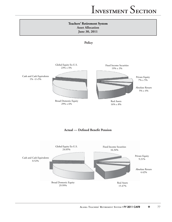





**Actual — Defined Benefit Pension** 

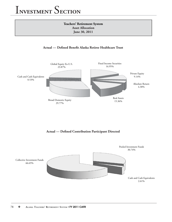## **Teachers' Retirement System Asset Allocation June 30, 2011**



Actual — Defined Benefit Alaska Retiree Healthcare Trust

**Actual — Defined Contribution Participant Directed** 

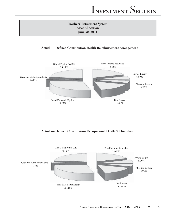## **Teachers' Retirement System Asset Allocation June 30, 2011**

## **Actual — Defined Contribution Health Reimbursement Arrangement**



Actual — Defined Contribution Occupational Death & Disability

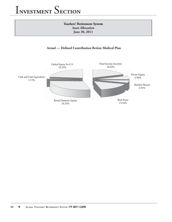## **Teachers' Retirement System Asset Allocation June 30, 2011**

## Actual — Defined Contribution Retiree Medical Plan

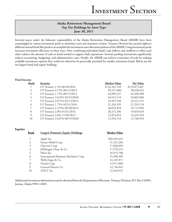## **Alaska Retirement Management Board Top Ten Holdings by Asset Type June 30, 2011**

Invested assets under the fiduciary responsibility of the Alaska Retirement Management Board (ARMB) have been commingled in various investment pools to minimize costs and maximize returns. Treasury Division has created eighteen different mutual fund-like pools to accomplish the investment asset allocation policies of the ARMB. Using investment pools increases investment efficiency in three ways. First, combining individual funds' cash inflows and outflows to offset each other reduces the amount of cash on hand needed to support daily operations. Second, pooling investments significantly reduces accounting, budgeting, and administrative costs. Finally, the ARMB can achieve economies of scale by making available investment options that could not otherwise be practically provided for smaller retirement funds. Below are the ten largest bond and equity holdings.

#### **Fixed Income**

|          | <b>Rank</b> | <b>Security</b>               | <b>Market Value</b> | Par Value     |
|----------|-------------|-------------------------------|---------------------|---------------|
|          |             | US Treasury 1.5% 06/30/2016   | \$132,241,549       | \$133,873,467 |
|          | 2           | US Treasury 0.75% 06/15/2014  | 58,557,680          | 58,628,622    |
|          | 3           | US Treasury 1.75% 08/15/2012  | 43,099,227          | 42,390,500    |
|          | 4           | US Treasury 3.625% 02/15/2020 | 34,912,519          | 33,002,000    |
|          |             | US Treasury 4.875% 02/15/2012 | 23,997,920          | 23,312,215    |
|          | 6           | US Treasury 1.75% 05/31/2016  | 21,326,335          | 21,293,118    |
|          |             | US Treasury 2.375% 09/30/2014 | 20,633,859          | 19,715,850    |
|          | 8           | US Treasury 2.0% 01/31/2016   | 20,215,396          | 19,829,650    |
|          | 9           | US Treasury 2.0% 11/30/2013   | 12,874,054          | 12,459,393    |
|          | 10          | US Treasury 2.625% 08/15/2020 | 12,294,110          | 12,700,934    |
|          |             |                               |                     |               |
| Equities |             |                               |                     |               |

#### **Equities**

| Rank | <b>Largest Domestic Equity Holdings</b> | <b>Market Value</b> |
|------|-----------------------------------------|---------------------|
| 1    | Apple Inc                               | \$26,565,631        |
| 2    | Exxon Mobil Corp                        | 21,521,204          |
| 3    | Chevron Corp                            | 17,666,056          |
| 4    | JPMorgan Chase & Co                     | 17,578,535          |
| 5    | Pfizer Inc.                             | 16,975,700          |
| 6    | International Business Machines Corp    | 15,498,389          |
| 7    | Wells Fargo & Co                        | 14,165,971          |
| 8    | Oracle Corp                             | 13,971,800          |
| 9    | General Electric Co                     | 12,746,045          |
| 10   | AT&T Inc                                | 12,344,912          |

Additional investment information may be obtained from the Department of Revenue, Treasury Division, P.O. Box 110405, Juneau, Alaska 99811-0405.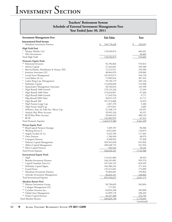## **Teachers' Retirement System Schedule of External Investment Management Fees Year Ended June 30, 2011**

| <b>International Fixed Income</b><br>Mondrian Investment Partners<br>109,778,628<br>\$<br>230,997<br>\$<br><b>High Yield Pool</b><br>Mackay Shields, LLC<br>118,450,074<br>460,201<br><b>ING</b> Investments<br>56,402<br>Total High Yield<br>118,450,074<br>516,603<br><b>Domestic Equity Pools</b><br>** Relational Investors<br>92,796,064<br>553,814<br>27,262,681<br>Advent Capital<br>169,580<br>$\ast$<br>Barrow, Hanley, Mewhinney & Strauss, INC<br>71,472,911<br>199,300<br>Jennison Associates LLC<br>48,064,876<br>328,884<br>Lazard Asset Management<br>244,158<br>101,819,673<br>Lord Abbett & Co.<br>75,989,016<br>387,425<br>$\ast$<br>Luther King Cap. Management<br>183,126<br>39,140,179<br>514,968<br>$\ast$<br>McKinley Capital<br>114,836,020<br>Quantitative Management Associates<br>145,590<br>40,536,816<br>SSgA Russell 1000 Growth<br>27,449<br>178, 123, 226<br>SSgA Russell 1000 Value<br>274,624,847<br>47,360<br>SSgA Russell 2000 Growth<br>17,410,516<br>SSga Russell 2000 Value<br>26,812,129<br>SSgA Russell 200<br>107,274,868 | <b>Fees</b> |
|---------------------------------------------------------------------------------------------------------------------------------------------------------------------------------------------------------------------------------------------------------------------------------------------------------------------------------------------------------------------------------------------------------------------------------------------------------------------------------------------------------------------------------------------------------------------------------------------------------------------------------------------------------------------------------------------------------------------------------------------------------------------------------------------------------------------------------------------------------------------------------------------------------------------------------------------------------------------------------------------------------------------------------------------------------------------|-------------|
|                                                                                                                                                                                                                                                                                                                                                                                                                                                                                                                                                                                                                                                                                                                                                                                                                                                                                                                                                                                                                                                                     |             |
|                                                                                                                                                                                                                                                                                                                                                                                                                                                                                                                                                                                                                                                                                                                                                                                                                                                                                                                                                                                                                                                                     |             |
|                                                                                                                                                                                                                                                                                                                                                                                                                                                                                                                                                                                                                                                                                                                                                                                                                                                                                                                                                                                                                                                                     |             |
|                                                                                                                                                                                                                                                                                                                                                                                                                                                                                                                                                                                                                                                                                                                                                                                                                                                                                                                                                                                                                                                                     |             |
|                                                                                                                                                                                                                                                                                                                                                                                                                                                                                                                                                                                                                                                                                                                                                                                                                                                                                                                                                                                                                                                                     |             |
|                                                                                                                                                                                                                                                                                                                                                                                                                                                                                                                                                                                                                                                                                                                                                                                                                                                                                                                                                                                                                                                                     |             |
|                                                                                                                                                                                                                                                                                                                                                                                                                                                                                                                                                                                                                                                                                                                                                                                                                                                                                                                                                                                                                                                                     |             |
|                                                                                                                                                                                                                                                                                                                                                                                                                                                                                                                                                                                                                                                                                                                                                                                                                                                                                                                                                                                                                                                                     |             |
|                                                                                                                                                                                                                                                                                                                                                                                                                                                                                                                                                                                                                                                                                                                                                                                                                                                                                                                                                                                                                                                                     |             |
|                                                                                                                                                                                                                                                                                                                                                                                                                                                                                                                                                                                                                                                                                                                                                                                                                                                                                                                                                                                                                                                                     |             |
|                                                                                                                                                                                                                                                                                                                                                                                                                                                                                                                                                                                                                                                                                                                                                                                                                                                                                                                                                                                                                                                                     |             |
|                                                                                                                                                                                                                                                                                                                                                                                                                                                                                                                                                                                                                                                                                                                                                                                                                                                                                                                                                                                                                                                                     |             |
|                                                                                                                                                                                                                                                                                                                                                                                                                                                                                                                                                                                                                                                                                                                                                                                                                                                                                                                                                                                                                                                                     |             |
|                                                                                                                                                                                                                                                                                                                                                                                                                                                                                                                                                                                                                                                                                                                                                                                                                                                                                                                                                                                                                                                                     |             |
|                                                                                                                                                                                                                                                                                                                                                                                                                                                                                                                                                                                                                                                                                                                                                                                                                                                                                                                                                                                                                                                                     |             |
|                                                                                                                                                                                                                                                                                                                                                                                                                                                                                                                                                                                                                                                                                                                                                                                                                                                                                                                                                                                                                                                                     |             |
|                                                                                                                                                                                                                                                                                                                                                                                                                                                                                                                                                                                                                                                                                                                                                                                                                                                                                                                                                                                                                                                                     |             |
|                                                                                                                                                                                                                                                                                                                                                                                                                                                                                                                                                                                                                                                                                                                                                                                                                                                                                                                                                                                                                                                                     |             |
|                                                                                                                                                                                                                                                                                                                                                                                                                                                                                                                                                                                                                                                                                                                                                                                                                                                                                                                                                                                                                                                                     | 9,771       |
|                                                                                                                                                                                                                                                                                                                                                                                                                                                                                                                                                                                                                                                                                                                                                                                                                                                                                                                                                                                                                                                                     | 41,717      |
|                                                                                                                                                                                                                                                                                                                                                                                                                                                                                                                                                                                                                                                                                                                                                                                                                                                                                                                                                                                                                                                                     | 12,019      |
| SSgA Futures Large Cap<br>2,367,370                                                                                                                                                                                                                                                                                                                                                                                                                                                                                                                                                                                                                                                                                                                                                                                                                                                                                                                                                                                                                                 | 5,206       |
| SSgA Future Small Cap<br>1,875,651                                                                                                                                                                                                                                                                                                                                                                                                                                                                                                                                                                                                                                                                                                                                                                                                                                                                                                                                                                                                                                  | 2,683       |
| $\ast$<br>DePrince, Race & Zollo Inc.-Micro Cap<br>64,391<br>21,108,174                                                                                                                                                                                                                                                                                                                                                                                                                                                                                                                                                                                                                                                                                                                                                                                                                                                                                                                                                                                             |             |
| Analytic Buy Write Account<br>29,992,226                                                                                                                                                                                                                                                                                                                                                                                                                                                                                                                                                                                                                                                                                                                                                                                                                                                                                                                                                                                                                            | 56,537      |
| RCM Buy Write Account<br>$\ast$<br>29,664,422<br>400,149                                                                                                                                                                                                                                                                                                                                                                                                                                                                                                                                                                                                                                                                                                                                                                                                                                                                                                                                                                                                            |             |
| $\ast$<br>RCM<br>122,303,915<br>47,312                                                                                                                                                                                                                                                                                                                                                                                                                                                                                                                                                                                                                                                                                                                                                                                                                                                                                                                                                                                                                              |             |
| 1,423,475,580<br>3,441,439<br>Total Domestic Equities                                                                                                                                                                                                                                                                                                                                                                                                                                                                                                                                                                                                                                                                                                                                                                                                                                                                                                                                                                                                               |             |
| <b>Private Equity Pool</b>                                                                                                                                                                                                                                                                                                                                                                                                                                                                                                                                                                                                                                                                                                                                                                                                                                                                                                                                                                                                                                          |             |
| ** BlumCapital Partners-Strategic<br>96,306<br>7,209,787                                                                                                                                                                                                                                                                                                                                                                                                                                                                                                                                                                                                                                                                                                                                                                                                                                                                                                                                                                                                            |             |
| ** Warburg Pincus X<br>6,812,665<br>116,074                                                                                                                                                                                                                                                                                                                                                                                                                                                                                                                                                                                                                                                                                                                                                                                                                                                                                                                                                                                                                         |             |
| ** Angelo Gordon & Co.<br>9,332,350<br>117,302                                                                                                                                                                                                                                                                                                                                                                                                                                                                                                                                                                                                                                                                                                                                                                                                                                                                                                                                                                                                                      |             |
| ** Onex Partners<br>1,786,430<br>48,970                                                                                                                                                                                                                                                                                                                                                                                                                                                                                                                                                                                                                                                                                                                                                                                                                                                                                                                                                                                                                             |             |
| ** Lexington Partners<br>6,508,035<br>97,838                                                                                                                                                                                                                                                                                                                                                                                                                                                                                                                                                                                                                                                                                                                                                                                                                                                                                                                                                                                                                        |             |
| 653,902<br>$\ast$<br>Pathway Capital Management<br>203,565,658                                                                                                                                                                                                                                                                                                                                                                                                                                                                                                                                                                                                                                                                                                                                                                                                                                                                                                                                                                                                      |             |
| * Abbott Capital Management<br>200,448,753<br>541,954                                                                                                                                                                                                                                                                                                                                                                                                                                                                                                                                                                                                                                                                                                                                                                                                                                                                                                                                                                                                               |             |
| ** Merit Capital Partners<br>992,543<br>70,162                                                                                                                                                                                                                                                                                                                                                                                                                                                                                                                                                                                                                                                                                                                                                                                                                                                                                                                                                                                                                      |             |
| 436,656,221<br>1,742,508<br>Total Private Equities                                                                                                                                                                                                                                                                                                                                                                                                                                                                                                                                                                                                                                                                                                                                                                                                                                                                                                                                                                                                                  |             |
| <b>International Equity Pools</b>                                                                                                                                                                                                                                                                                                                                                                                                                                                                                                                                                                                                                                                                                                                                                                                                                                                                                                                                                                                                                                   |             |
| SSgA<br>114,341,869<br>58,933                                                                                                                                                                                                                                                                                                                                                                                                                                                                                                                                                                                                                                                                                                                                                                                                                                                                                                                                                                                                                                       |             |
| 959,570<br>* Brandes Investment Partners<br>244,101,002                                                                                                                                                                                                                                                                                                                                                                                                                                                                                                                                                                                                                                                                                                                                                                                                                                                                                                                                                                                                             |             |
| Capital Guardian Trust Co.<br>187, 426, 145<br>629,439                                                                                                                                                                                                                                                                                                                                                                                                                                                                                                                                                                                                                                                                                                                                                                                                                                                                                                                                                                                                              |             |
| McKinley Capital Mgmt.<br>103,386,234<br>371,454                                                                                                                                                                                                                                                                                                                                                                                                                                                                                                                                                                                                                                                                                                                                                                                                                                                                                                                                                                                                                    |             |
| <b>Lazard Freres</b><br>135,212,601<br>173,090                                                                                                                                                                                                                                                                                                                                                                                                                                                                                                                                                                                                                                                                                                                                                                                                                                                                                                                                                                                                                      |             |
| Mondrian Investment Partners<br>35,064,687<br>199,862                                                                                                                                                                                                                                                                                                                                                                                                                                                                                                                                                                                                                                                                                                                                                                                                                                                                                                                                                                                                               |             |
| $\ast$<br>Schroder Investment Management<br>36,024,137<br>228,826                                                                                                                                                                                                                                                                                                                                                                                                                                                                                                                                                                                                                                                                                                                                                                                                                                                                                                                                                                                                   |             |
| 855,556,675<br>2,621,174<br>Total International Equities                                                                                                                                                                                                                                                                                                                                                                                                                                                                                                                                                                                                                                                                                                                                                                                                                                                                                                                                                                                                            |             |
| <b>Absolute Return Pool</b>                                                                                                                                                                                                                                                                                                                                                                                                                                                                                                                                                                                                                                                                                                                                                                                                                                                                                                                                                                                                                                         |             |
| ** Mariner Investment Group<br>58,790,695<br>565,894                                                                                                                                                                                                                                                                                                                                                                                                                                                                                                                                                                                                                                                                                                                                                                                                                                                                                                                                                                                                                |             |
| ** Cadogan Management LLC<br>177,991                                                                                                                                                                                                                                                                                                                                                                                                                                                                                                                                                                                                                                                                                                                                                                                                                                                                                                                                                                                                                                |             |
| ** Crestline Investors Inc.<br>585,898<br>64,854,298                                                                                                                                                                                                                                                                                                                                                                                                                                                                                                                                                                                                                                                                                                                                                                                                                                                                                                                                                                                                                |             |
| ** Global Asset Management<br>41,899,178<br>290,449                                                                                                                                                                                                                                                                                                                                                                                                                                                                                                                                                                                                                                                                                                                                                                                                                                                                                                                                                                                                                 |             |
| ** Prisma Capital Partners<br>44,107,568<br>276,794                                                                                                                                                                                                                                                                                                                                                                                                                                                                                                                                                                                                                                                                                                                                                                                                                                                                                                                                                                                                                 |             |
| Total Absolute Return<br>1,719,035<br>209,829,730                                                                                                                                                                                                                                                                                                                                                                                                                                                                                                                                                                                                                                                                                                                                                                                                                                                                                                                                                                                                                   |             |
| (continued)                                                                                                                                                                                                                                                                                                                                                                                                                                                                                                                                                                                                                                                                                                                                                                                                                                                                                                                                                                                                                                                         |             |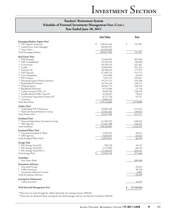## **Teachers' Retirement System Schedule of External Investment Management Fees (Cont.) Year Ended June 30, 2011**

|                                                                  | <b>Fair Value</b>        | <b>Fees</b>        |
|------------------------------------------------------------------|--------------------------|--------------------|
| <b>Emerging Markets Equity Pool</b><br>** The Capital Group Inc. | \$<br>130,974,163        | \$<br>757,507      |
| ** Lazard Freres Asset Managers                                  | 88,904,187               |                    |
| ** Eaton Vance                                                   | 65,979,639               |                    |
| <b>Total Emerging Markets</b>                                    | 285,857,989              | 757,507            |
| <b>Real Estate Pool</b>                                          |                          |                    |
| ** JPM Strategic<br>** UBS Consolidated                          | 53,646,562<br>19,762,952 | 401,844<br>160,928 |
| ** Cornerstone                                                   | 46,538,195               | 347,467            |
| ** Lasalle                                                       | 54,804,093               | 391,232            |
| ** Sentinel, SA                                                  | 28,186,015               | 177,972            |
| ** UBS Separate                                                  | 67,020,723               | 513,175            |
| ** Lowe Hospitality                                              | 1,016,284                | 62,642             |
| ** ING Clarion                                                   | 7,367,191                | 102,647            |
| ** Silverpeak Legacy Pension Partners                            | 29,255,713               | 418,708            |
| ** Rothschild Five Arrows                                        | 16,701,410               | 194,157            |
| ** Tishman Speyer                                                | 18,901,755               | 340,570            |
| ** BlackRock Diamond                                             | 6,375,696                | 71,718             |
| ** Colony Investors VIII, L.P.                                   | 8,648,106                | 220,418            |
| ** LaSalle Medical Office Fund II                                | 6,148,327                | 79,613             |
| ** Cornerstone Apartment Venture III                             | 8,727,720                | 95,797             |
| ** Coventry                                                      | 6,034,122                |                    |
| Total Real Estate                                                | 379,134,864              | 3,578,888          |
| <b>Timber Pool</b>                                               |                          |                    |
| ** Timberland INVT Resources                                     | 34,004,328               | 273,679            |
| ** Hancock Natural Resource Group                                | 21,653,261               | 138,492            |
| Total Timber Pool                                                | 55,657,589               | 412,171            |
| <b>Farmland Pool</b>                                             |                          |                    |
| ** Hancock Agriculture Investment Group                          | 61,503,293               | 448,923            |
| ** UBS Agrivest                                                  | 97,027,588               | 769,312            |
| Total Farmland<br><b>Farmland Water Pool</b>                     | 158,530,881              | 1,218,235          |
| ** Hancock Farmland & Water                                      | 4,207,832                | 30,555             |
| ** UBS Agrivest                                                  | 9,669,019                | 65,823             |
| Total Farmland Water Pool                                        | 13,876,851               | 96,378             |
|                                                                  |                          |                    |
| <b>Energy Pool</b><br>** EIG Energy Fund XV                      | 709,218                  | 39,157             |
| ** EIG Energy Fund XD                                            | 4,175,896                | 66,794             |
| ** EIG Energy Fund XIV-A                                         | 17,769,635               | 265,515            |
| <b>Total Energy Pool</b>                                         | \$<br>22,654,749         | 371,466            |
| Custodian<br>State Street Bank                                   |                          | 289,938            |
| <b>Investment Advisory</b>                                       |                          |                    |
| Townsend Group                                                   |                          | 29,441             |
| $\ast$<br>Callan Associates                                      |                          | 30,766             |
| <b>Investment Advisory Council</b><br>$\ast$                     |                          | 8,982              |
| Total Investment Advisory                                        |                          | 69,189             |
| <b>Investment Performance</b>                                    |                          |                    |
| * Callan Associates                                              |                          | 76,915             |
| <b>Total External Management Fees</b>                            |                          | 17,142,443         |

\*These fees are paid through the Alaska Statewide Accounting System (AKSAS).

\*\*These fees are deducted from earnings by the fund manager and are not directly recorded in AKSAS.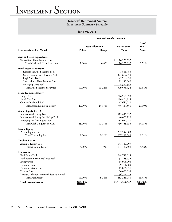### **Teachers' Retirement System Investment Summary Schedule**

### **June 30, 2011**

|                                                                          | Defined Benefit - Pension |                                         |                                    |                        |
|--------------------------------------------------------------------------|---------------------------|-----------------------------------------|------------------------------------|------------------------|
|                                                                          |                           |                                         |                                    | $%$ of                 |
| <b>Investments (at Fair Value)</b>                                       | <b>Policy</b>             | <b>Asset Allocation</b><br><b>Range</b> | <b>Fair Market</b><br><b>Value</b> | Total<br><b>Assets</b> |
| <b>Cash and Cash Equivalents</b>                                         |                           |                                         |                                    |                        |
| Short-Term Fixed Income Pool<br>Total Cash and Cash Equivalents          | 1.00%                     | $0 - 6\%$                               | 16,225,632<br>16,225,632           | 0.52%                  |
| <b>Fixed Income Securities</b>                                           |                           |                                         |                                    |                        |
| Retirement Fixed Income Pool                                             |                           |                                         | 7,561,753                          |                        |
| U.S. Treasury Fixed Income Pool                                          |                           |                                         | 327,617,559                        |                        |
| High Yield Pool<br>International Fixed Income Pool                       |                           |                                         | 77,919,938<br>72,185,842           |                        |
| <b>Emerging Debt Pool</b>                                                |                           |                                         | 24,370,342                         |                        |
| Total Fixed Income Securities                                            | 19.00%                    | 16-22%                                  | 509,655,434                        | 16.34%                 |
| <b>Broad Domestic Equity</b>                                             |                           |                                         |                                    |                        |
| Large Cap                                                                |                           |                                         | 746,963,820                        |                        |
| Small Cap Pool                                                           |                           |                                         | 170,876,714                        |                        |
| Convertible Bond Pool                                                    |                           |                                         | 17,647,017                         |                        |
| Total Broad Domestic Equity                                              | 29.00%                    | 23-35%                                  | 935,487,551                        | 29.99%                 |
| Global Equity Ex-U.S.                                                    |                           |                                         |                                    |                        |
| <b>International Equity Pool</b>                                         |                           |                                         | 515,496,052                        |                        |
| International Equity Small Cap Pool                                      |                           |                                         | 46,623,120                         |                        |
| <b>Emerging Markets Equity Pool</b>                                      |                           |                                         | 188,024,481                        |                        |
| Total Global Equity Ex-U.S.                                              | 23.00%                    | 19-27%                                  | 750,143,653                        | 24.05%                 |
| <b>Private Equity</b>                                                    |                           |                                         |                                    |                        |
| Private Equity Pool                                                      |                           |                                         | 287, 297, 583                      |                        |
| Total Private Equity                                                     | 7.00%                     | $2 - 12%$                               | 287, 297, 583                      | 9.21%                  |
| <b>Absolute Return</b>                                                   |                           |                                         |                                    |                        |
| Absolute Return Pool                                                     |                           |                                         | <u>137,789,609</u>                 |                        |
| Total Absolute Return                                                    | 5.00%                     | 1-9%                                    | 137,789,609                        | 4.42%                  |
| <b>Real Assets</b>                                                       |                           |                                         |                                    |                        |
| Real Estate Pool                                                         |                           |                                         | 248,787,814                        |                        |
| Real Estate Investment Trust Pool                                        |                           |                                         | 31,848,675                         |                        |
| <b>Energy Pool</b>                                                       |                           |                                         | 14,915,906                         |                        |
| Farmland Pool                                                            |                           |                                         | 99,711,080                         |                        |
| Farmland Water Pool                                                      |                           |                                         | 13,876,851                         |                        |
| Timber Pool                                                              |                           |                                         | 36,603,039                         |                        |
| Treasury Inflation Protected Securities Pool<br><b>Total Real Assets</b> | $16.00\%$                 | $8 - 24%$                               | 36,501,715<br>482,245,080          | 15.47%                 |
| <b>Total Invested Assets</b>                                             | 100.00%                   |                                         | \$3,118,844,542                    | 100.00%                |
|                                                                          |                           |                                         |                                    |                        |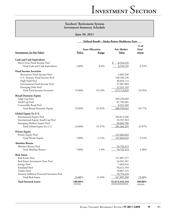## **June 30, 2011**

|                                                                                                                                                                                                                       | Defined Benefit - Alaska Retiree Healthcare Trust |                                  |                                                                                     |                           |
|-----------------------------------------------------------------------------------------------------------------------------------------------------------------------------------------------------------------------|---------------------------------------------------|----------------------------------|-------------------------------------------------------------------------------------|---------------------------|
| <b>Investments (at Fair Value)</b>                                                                                                                                                                                    | <b>Policy</b>                                     | <b>Asset Allocation</b><br>Range | <b>Fair Market</b><br>Value                                                         | $%$ of<br>Total<br>Assets |
| <b>Cash and Cash Equivalents</b><br>Short-Term Fixed Income Pool<br>Total Cash and Cash Equivalents                                                                                                                   | 1.00%                                             | $0 - 6\%$                        | 8,510,135<br>\$<br>8,510,135                                                        | 0.53%                     |
| <b>Fixed Income Securities</b><br>Retirement Fixed Income Pool<br>U.S. Treasury Fixed Income Pool<br>High Yield Pool<br>International Fixed Income Pool<br><b>Emerging Debt Pool</b><br>Total Fixed Income Securities | 19.00%                                            | 16-22%                           | 3,885,290<br>180, 186, 156<br>40,034,114<br>37,087,069<br>12,521,193<br>273,713,822 | 16.95%                    |
| <b>Broad Domestic Equity</b><br>Large Cap Pool<br>Small Cap Pool<br>Convertible Bond Pool<br>Total Broad Domestic Equity                                                                                              | 29.00%                                            | 23-35%                           | 383,246,669<br>87,782,681<br>9,521,292<br>480,550,642                               | 29.77%                    |
| Global Equity Ex-U.S.<br><b>International Equity Pool</b><br>International Equity Small Cap Pool<br><b>Emerging Markets Equity Pool</b><br>Total Global Equity Ex-U.S.                                                | 23.00%                                            | 19-27%                           | 264,813,566<br>23,947,943<br>96,604,786<br>385,366,295                              | 23.87%                    |
| <b>Private Equity</b><br>Private Equity Pool<br>Total Private Equity                                                                                                                                                  | 7.00%                                             | $2 - 12%$                        | 147,603,633<br>147,603,633                                                          | 9.14%                     |
| <b>Absolute Return</b><br>Absolute Return Pool<br>Total Absolute Return                                                                                                                                               | 5.00%                                             | 1-9%                             | 70,792,474<br>70,792,474                                                            | 4.38%                     |
| <b>Real Assets</b><br>Real Estate Pool<br>Real Estate Investment Trust Pool<br><b>Energy Pool</b><br>Farmland Pool<br>Timber Pool<br>Treasury Inflation Protected Securities Pool                                     |                                                   |                                  | 127,887,277<br>16,361,367<br>7,663,616<br>58,421,593<br>18,807,132<br>18,754,224    |                           |
| <b>Total Real Assets</b><br><b>Total Invested Assets</b>                                                                                                                                                              | 16.00%<br>100.00%                                 | $8-24%$                          | 247,895,209<br>\$1,614,432,210                                                      | 15.36%<br>100.00%         |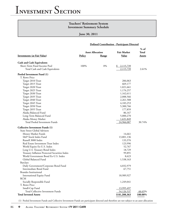|                                                                                                     | Defined Contribution - Participant Directed |                                         |                              |                                         |
|-----------------------------------------------------------------------------------------------------|---------------------------------------------|-----------------------------------------|------------------------------|-----------------------------------------|
| <b>Investments (at Fair Value)</b>                                                                  | <b>Policy</b>                               | <b>Asset Allocation</b><br><b>Range</b> | <b>Fair Market</b><br>Value  | $%$ of<br><b>Total</b><br><b>Assets</b> |
| <b>Cash and Cash Equivalents</b><br>Short-Term Fixed Income Pool<br>Total Cash and Cash Equivalents | 100%                                        | 0%                                      | \$<br>2,115,739<br>2,115,739 | 2.61%                                   |
| Pooled Investment Fund (1)                                                                          |                                             |                                         |                              |                                         |
| T. Rowe Price                                                                                       |                                             |                                         |                              |                                         |
| Target 2010 Trust                                                                                   |                                             |                                         | 206,063                      |                                         |
| Target 2015 Trust                                                                                   |                                             |                                         | 669,177                      |                                         |
| Target 2020 Trust                                                                                   |                                             |                                         | 1,021,661                    |                                         |
| Target 2025 Trust                                                                                   |                                             |                                         | 1,176,257                    |                                         |
| Target 2030 Trust                                                                                   |                                             |                                         | 1,162,611                    |                                         |
| Target 2035 Trust                                                                                   |                                             |                                         | 2,088,566                    |                                         |
| Target 2040 Trust                                                                                   |                                             |                                         | 2,261,588                    |                                         |
| Target 2045 Trust                                                                                   |                                             |                                         | 4,183,253                    |                                         |
| Target 2050 Trust                                                                                   |                                             |                                         | 5,300,766                    |                                         |
| Target 2055 Trust                                                                                   |                                             |                                         | 177,859                      |                                         |
| Alaska Balanced Fund                                                                                |                                             |                                         | 86,167                       |                                         |
| Long-Term Balanced Fund                                                                             |                                             |                                         | 5,000,270                    |                                         |
| Alaska Money Market                                                                                 |                                             |                                         | <u>1,631,849</u>             |                                         |
| Total Pooled Investment Funds                                                                       |                                             |                                         | 24,966,087                   | 30.74%                                  |
| <b>Collective Investment Funds (1)</b>                                                              |                                             |                                         |                              |                                         |
| <b>State Street Global Advisors</b>                                                                 |                                             |                                         |                              |                                         |
| Money Market Funds                                                                                  |                                             |                                         | 14,661                       |                                         |
| S&P Stock Index Fund                                                                                |                                             |                                         | 13,801,136                   |                                         |
| Russell 3000 Index                                                                                  |                                             |                                         | 133,376                      |                                         |
| Real Estate Investment Trust Index                                                                  |                                             |                                         | 123,996                      |                                         |
| World Equity Ex-U.S. Index                                                                          |                                             |                                         | 52,767                       |                                         |
| Long U.S. Treasury Bond Index                                                                       |                                             |                                         | 18,729                       |                                         |
| Treasury Inflation Protected Securities Index                                                       |                                             |                                         | 99,891                       |                                         |
| World Government Bond Ex-U.S. Index                                                                 |                                             |                                         | 8,623                        |                                         |
| Global Balanced Fund                                                                                |                                             |                                         | 1,538,163                    |                                         |
| Barclays                                                                                            |                                             |                                         |                              |                                         |
| Daily Government/Corporate Bond Fund                                                                |                                             |                                         | 4,032,979                    |                                         |
| Intermediate Bond Fund                                                                              |                                             |                                         | 67,751                       |                                         |
| <b>Brandes Institutional</b>                                                                        |                                             |                                         |                              |                                         |
| <b>International Equity Fund</b>                                                                    |                                             |                                         | 18,989,927                   |                                         |
| <b>RCM</b>                                                                                          |                                             |                                         |                              |                                         |
| Socially Responsible Fund                                                                           |                                             |                                         | 1,249,041                    |                                         |
| T. Rowe Price                                                                                       |                                             |                                         |                              |                                         |
| Small-Cap Fund                                                                                      |                                             |                                         | 13,995,497                   |                                         |
| <b>Total Collective Investment Funds</b><br><b>Total Invested Assets</b>                            |                                             |                                         | 54,126,537                   | 66.65%                                  |
|                                                                                                     |                                             |                                         | \$81,208,363                 | 100.00%                                 |

(1) Pooled Investment Funds and Collective Investment Funds are participant directed and therefore are not subject to an asset allocation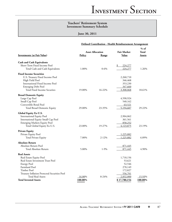| June 30, 2011 |  |  |
|---------------|--|--|
|---------------|--|--|

|                                                                                                                                                                                                                                                      | Defined Contribution - Health Reimbursement Arrangement |                         |                                                                                             |                   |
|------------------------------------------------------------------------------------------------------------------------------------------------------------------------------------------------------------------------------------------------------|---------------------------------------------------------|-------------------------|---------------------------------------------------------------------------------------------|-------------------|
|                                                                                                                                                                                                                                                      |                                                         | <b>Asset Allocation</b> | <b>Fair Market</b>                                                                          | $%$ of<br>Total   |
| Investments (at Fair Value)                                                                                                                                                                                                                          | Policy                                                  | Range                   | Value                                                                                       | Assets            |
| <b>Cash and Cash Equivalents</b><br>Short-Term Fixed Income Pool<br>Total Cash and Cash Equivalents                                                                                                                                                  | 1.00%                                                   | $0 - 6\%$               | \$<br>224,277<br>224,277                                                                    | 1.26%             |
| <b>Fixed Income Securities</b><br>U.S. Treasury Fixed Income Pool<br>High Yield Pool<br>International Fixed Income Pool<br><b>Emerging Debt Pool</b><br>Total Fixed Income Securites                                                                 | 19.00%                                                  | 16-22%                  | 2,260,710<br>346,468<br>353,230<br>347,660<br>3,308,068                                     | 18.61%            |
| <b>Broad Domestic Equity</b><br>Large Cap Pool<br>Small Cap Pool<br>Convertible Bond Pool<br>Total Broad Domestic Equity                                                                                                                             | 29.00%                                                  | 23-35%                  | 4,590,924<br>540,162<br>63,521<br>5,194,607                                                 | 29.22%            |
| Global Equity Ex-U.S.<br><b>International Equity Pool</b><br>International Equity Small Cap Pool<br><b>Emerging Markets Equity Pool</b><br>Total Global Equity Ex-U.S.                                                                               | 23.00%                                                  | 19-27%                  | 2,904,062<br>361,561<br>858,252<br>4,123,875                                                | 23.19%            |
| <b>Private Equity</b><br>Private Equity Pool<br><b>Total Private Equity</b>                                                                                                                                                                          | 7.00%                                                   | $2 - 12\%$              | 1,225,882<br>1,225,882                                                                      | 6.89%             |
| <b>Absolute Return</b><br>Absolute Return Pool<br>Total Absolute Return                                                                                                                                                                              | 5.00%                                                   | $1 - 9\%$               | 871,445<br>871,445                                                                          | 4.90%             |
| <b>Real Assets</b><br>Real Estate Equity Pool<br>Real Estate Investment Trust Pool<br><b>Energy Pool</b><br>Farmland Pool<br>Timber Pool<br>Treasury Inflation Protected Securities Pool<br><b>Total Real Assets</b><br><b>Total Invested Assets</b> | 16.00%<br>100.00%                                       | $8 - 24%$               | 1,718,156<br>53,621<br>52,546<br>278,149<br>172,827<br>556,701<br>2,832,000<br>\$17,780,154 | 15.93%<br>100.00% |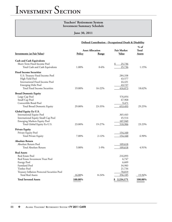### **Teachers' Retirement System Investment Summary Schedule**

### **June 30, 2011**

|                                              | Defined Contribution - Occupational Death & Disability   |           |                             |                           |  |  |
|----------------------------------------------|----------------------------------------------------------|-----------|-----------------------------|---------------------------|--|--|
| <b>Investments (at Fair Value)</b>           | <b>Asset Allocation</b><br><b>Policy</b><br><b>Range</b> |           | <b>Fair Market</b><br>Value | $%$ of<br>Total<br>Assets |  |  |
| <b>Cash and Cash Equivalents</b>             |                                                          |           |                             |                           |  |  |
| Short-Term Fixed Income Pool                 |                                                          |           | \$<br>25,736                |                           |  |  |
| Total Cash and Cash Equivalents              | 1.00%                                                    | $0 - 6\%$ | 25,736                      | 1.15%                     |  |  |
| <b>Fixed Income Securities</b>               |                                                          |           |                             |                           |  |  |
| U.S. Treasury Fixed Income Pool              |                                                          |           | 284,338                     |                           |  |  |
| High Yield Pool                              |                                                          |           | 43,577                      |                           |  |  |
| International Fixed Income Pool              |                                                          |           | 44,431                      |                           |  |  |
| <b>Emerging Debt Pool</b>                    |                                                          |           | 43,727                      |                           |  |  |
| <b>Total Fixed Income Securities</b>         | 19.00%                                                   | 16-22%    | 416,073                     | 18.62%                    |  |  |
| <b>Broad Domestic Equity</b>                 |                                                          |           |                             |                           |  |  |
| Large Cap Pool                               |                                                          |           | 576,054                     |                           |  |  |
| Small Cap Pool                               |                                                          |           | 67,968                      |                           |  |  |
| Convertible Bond Pool                        |                                                          |           | 9,471                       |                           |  |  |
| <b>Total Broad Domestic Equity</b>           | 29.00%                                                   | 23-35%    | 653,493                     | 29.25%                    |  |  |
| Global Equity Ex-U.S.                        |                                                          |           |                             |                           |  |  |
| <b>International Equity Pool</b>             |                                                          |           | 365,443                     |                           |  |  |
| International Equity Small Cap Pool          |                                                          |           | 45,514                      |                           |  |  |
| <b>Emerging Markets Equity Pool</b>          |                                                          |           | 107,949                     |                           |  |  |
| Total Global Equity Ex-U.S.                  | 23.00%                                                   | 19-27%    | 518,906                     | 23.23%                    |  |  |
| <b>Private Equity</b>                        |                                                          |           |                             |                           |  |  |
| Private Equity Pool                          |                                                          |           | 154,160                     |                           |  |  |
| Total Private Equity                         | 7.00%                                                    | $2 - 12%$ | 154,160                     | 6.90%                     |  |  |
| <b>Absolute Return</b>                       |                                                          |           |                             |                           |  |  |
| Absolute Return Pool                         |                                                          |           | 109,618                     |                           |  |  |
| Total Absolute Return                        | 5.00%                                                    | $1-9%$    | 109,618                     | 4.91%                     |  |  |
| <b>Real Assets</b>                           |                                                          |           |                             |                           |  |  |
| Real Estate Pool                             |                                                          |           | 216,093                     |                           |  |  |
| Real Estate Investment Trust Pool            |                                                          |           | 6,747                       |                           |  |  |
| <b>Energy Pool</b>                           |                                                          |           | 6,609                       |                           |  |  |
| <b>Farmland Pool</b>                         |                                                          |           | 34,983                      |                           |  |  |
| Timber Pool                                  |                                                          |           | 21,734                      |                           |  |  |
| Treasury Inflation Protected Securities Pool |                                                          |           | 70,019                      |                           |  |  |
| Total Real Assets                            | 16.00%                                                   | $8-24%$   | 356,185                     | 15.94%                    |  |  |
| <b>Total Invested Assets</b>                 | 100.00%                                                  |           | 2,234,171<br>\$             | 100.00%                   |  |  |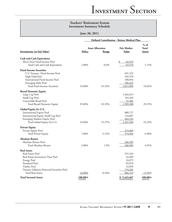### **June 30, 2011**

|                                                                                                                                                                                          | Defined Contribution - Retiree Medical Plan |                         |                                                            |                 |  |  |
|------------------------------------------------------------------------------------------------------------------------------------------------------------------------------------------|---------------------------------------------|-------------------------|------------------------------------------------------------|-----------------|--|--|
| Investments (at Fair Value)                                                                                                                                                              |                                             | <b>Asset Allocation</b> | <b>Fair Market</b>                                         | $%$ of<br>Total |  |  |
|                                                                                                                                                                                          | <b>Policy</b>                               | <b>Range</b>            | Value                                                      | <b>Assets</b>   |  |  |
| <b>Cash and Cash Equivalents</b><br>Short-Term Fixed Income Pool<br>Total Cash and Cash Equivalents                                                                                      | 1.00%                                       | $0 - 6\%$               | 62,576<br>\$<br>62,576                                     | 1.15%           |  |  |
| <b>Fixed Income Securities</b><br>U.S. Treasury Fixed Income Pool<br>High Yield Pool<br>International Fixed Income Pool<br><b>Emerging Debt Pool</b><br>Total Fixed Income Securities    | 19.00%                                      | 16-22%                  | 691,523<br>105,978<br>108,056<br>106,342<br>1,011,899      | 18.62%          |  |  |
| <b>Broad Domestic Equity</b><br>Large Cap Pool<br>Small Cap Pool<br>Convertible Bond Pool<br>Total Broad Domestic Equity                                                                 | 29.00%                                      | 23-35%                  | 1,402,613<br>165,294<br>21,381<br>1,589,288                | 29.25%          |  |  |
| Global Equity Ex-U.S.<br><b>International Equity Pool</b><br>International Equity Small Cap Pool<br>Emerging Markets Equity Pool<br>Total Global Equity Ex-U.S.                          | 23.00%                                      | 19-27%                  | 888,727<br>110,687<br>262,522<br>1,261,936                 | 23.23%          |  |  |
| <b>Private Equity</b><br>Private Equity Pool<br>Total Private Equity                                                                                                                     | 7.00%                                       | $2 - 12%$               | 374,964<br>374,964                                         | 6.90%           |  |  |
| <b>Absolute Return</b><br>Absolute Return Pool<br>Total Absolute Return                                                                                                                  | 5.00%                                       | 1-9%                    | 266,585<br>266,585                                         | 4.91%           |  |  |
| <b>Real Assets</b><br>Real Estate Pool<br>Real Estate Investment Trust Pool<br><b>Energy Pool</b><br><b>Farmland Pool</b><br>Timber Pool<br>Treasury Inflation Protected Securities Pool |                                             |                         | 525,524<br>16,409<br>16,073<br>85,076<br>52,856<br>170,281 |                 |  |  |
| Total Real Assets                                                                                                                                                                        | $16.00\%$                                   | $8-24%$                 | 866,219                                                    | 15.94%          |  |  |
| <b>Total Invested Assets</b>                                                                                                                                                             | 100.00%                                     |                         | \$5,433,467                                                | 100.00%         |  |  |